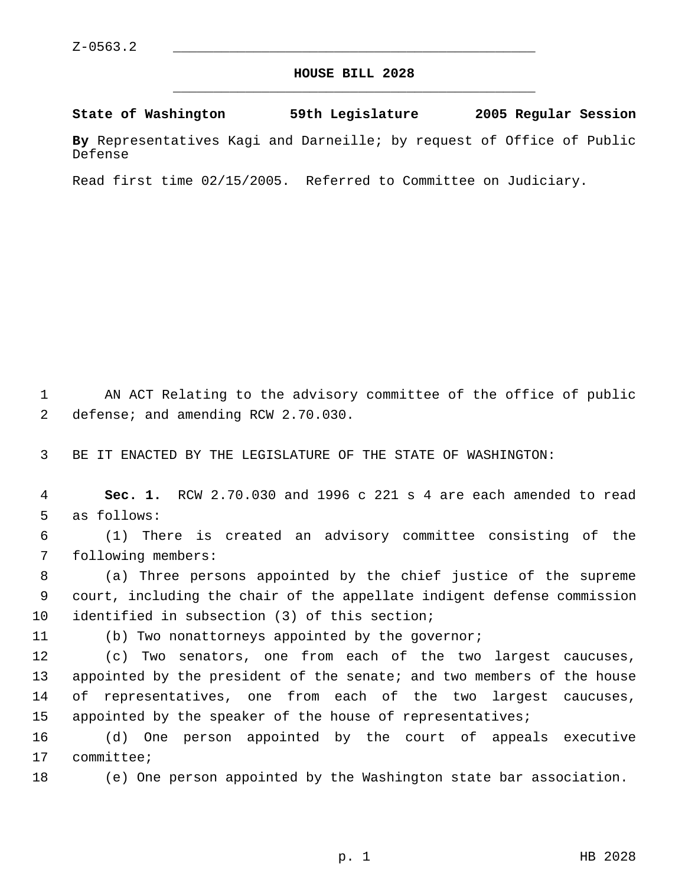## **HOUSE BILL 2028** \_\_\_\_\_\_\_\_\_\_\_\_\_\_\_\_\_\_\_\_\_\_\_\_\_\_\_\_\_\_\_\_\_\_\_\_\_\_\_\_\_\_\_\_\_

**State of Washington 59th Legislature 2005 Regular Session**

**By** Representatives Kagi and Darneille; by request of Office of Public Defense

Read first time 02/15/2005. Referred to Committee on Judiciary.

 AN ACT Relating to the advisory committee of the office of public defense; and amending RCW 2.70.030.

BE IT ENACTED BY THE LEGISLATURE OF THE STATE OF WASHINGTON:

 **Sec. 1.** RCW 2.70.030 and 1996 c 221 s 4 are each amended to read as follows:

 (1) There is created an advisory committee consisting of the following members:

 (a) Three persons appointed by the chief justice of the supreme court, including the chair of the appellate indigent defense commission identified in subsection (3) of this section;

(b) Two nonattorneys appointed by the governor;

 (c) Two senators, one from each of the two largest caucuses, appointed by the president of the senate; and two members of the house of representatives, one from each of the two largest caucuses, 15 appointed by the speaker of the house of representatives;

 (d) One person appointed by the court of appeals executive committee;

(e) One person appointed by the Washington state bar association.